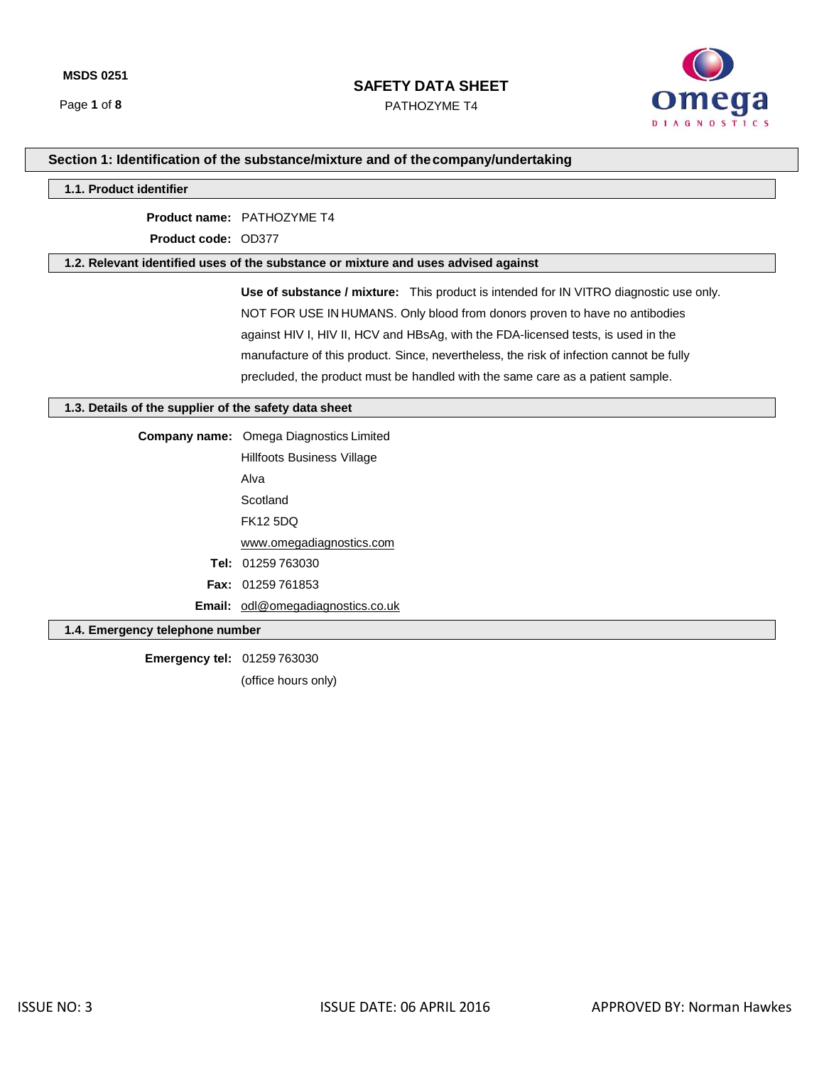PATHOZYME T4



# **Section 1: Identification of the substance/mixture and of thecompany/undertaking**

### **1.1. Product identifier**

**Product name:** PATHOZYME T4

**Product code:** OD377

### **1.2. Relevant identified uses of the substance or mixture and uses advised against**

**Use of substance / mixture:** This product is intended for IN VITRO diagnostic use only. NOT FOR USE IN HUMANS. Only blood from donors proven to have no antibodies against HIV I, HIV II, HCV and HBsAg, with the FDA-licensed tests, is used in the manufacture of this product. Since, nevertheless, the risk of infection cannot be fully precluded, the product must be handled with the same care as a patient sample.

### **1.3. Details of the supplier of the safety data sheet**

| <b>Company name:</b> Omega Diagnostics Limited |  |  |  |  |
|------------------------------------------------|--|--|--|--|
| Hillfoots Business Village                     |  |  |  |  |
| Alva                                           |  |  |  |  |
| Scotland                                       |  |  |  |  |
| <b>FK12 5DQ</b>                                |  |  |  |  |
| www.omegadiagnostics.com                       |  |  |  |  |
| <b>Tel: 01259 763030</b>                       |  |  |  |  |
| <b>Fax: <math>01259761853</math></b>           |  |  |  |  |
| <b>Email:</b> odl@omegadiagnostics.co.uk       |  |  |  |  |

### **1.4. Emergency telephone number**

**Emergency tel:** 01259 763030 (office hours only)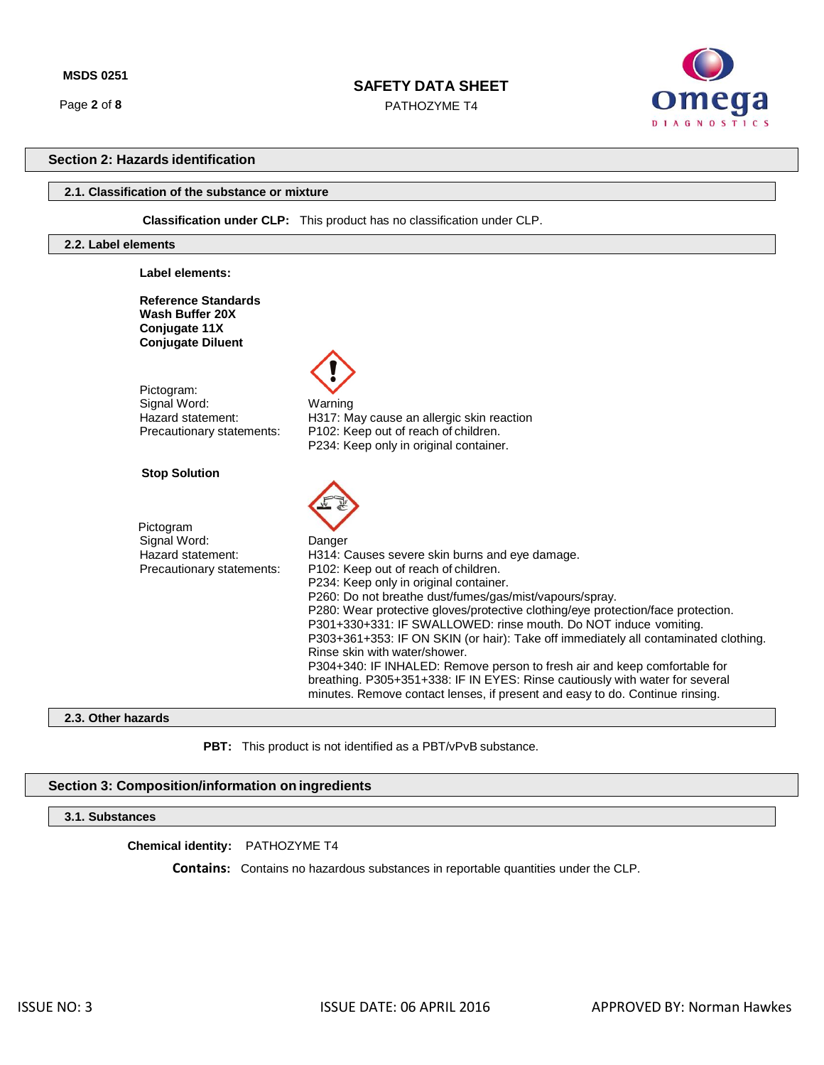Page **2** of **8**

## **SAFETY DATA SHEET**

PATHOZYME T4



## **Section 2: Hazards identification**

## **2.1. Classification of the substance or mixture**

 **Classification under CLP:** This product has no classification under CLP.

## **2.2. Label elements**

| Label elements:                                                                            |                                                                                                                                                                                                                                                                                                                                                                                                                                                                                                                                                                                                                                                                                                                                    |
|--------------------------------------------------------------------------------------------|------------------------------------------------------------------------------------------------------------------------------------------------------------------------------------------------------------------------------------------------------------------------------------------------------------------------------------------------------------------------------------------------------------------------------------------------------------------------------------------------------------------------------------------------------------------------------------------------------------------------------------------------------------------------------------------------------------------------------------|
| <b>Reference Standards</b><br>Wash Buffer 20X<br>Conjugate 11X<br><b>Conjugate Diluent</b> |                                                                                                                                                                                                                                                                                                                                                                                                                                                                                                                                                                                                                                                                                                                                    |
| Pictogram:<br>Signal Word:<br>Hazard statement:<br>Precautionary statements:               | Warning<br>H317: May cause an allergic skin reaction<br>P102: Keep out of reach of children.<br>P234: Keep only in original container.                                                                                                                                                                                                                                                                                                                                                                                                                                                                                                                                                                                             |
| <b>Stop Solution</b>                                                                       |                                                                                                                                                                                                                                                                                                                                                                                                                                                                                                                                                                                                                                                                                                                                    |
| Pictogram<br>Signal Word:<br>Hazard statement:<br>Precautionary statements:                | Danger<br>H314: Causes severe skin burns and eye damage.<br>P102: Keep out of reach of children.<br>P234: Keep only in original container.<br>P260: Do not breathe dust/fumes/gas/mist/vapours/spray.<br>P280: Wear protective gloves/protective clothing/eye protection/face protection.<br>P301+330+331: IF SWALLOWED: rinse mouth. Do NOT induce vomiting.<br>P303+361+353: IF ON SKIN (or hair): Take off immediately all contaminated clothing.<br>Rinse skin with water/shower.<br>P304+340: IF INHALED: Remove person to fresh air and keep comfortable for<br>breathing. P305+351+338: IF IN EYES: Rinse cautiously with water for several<br>minutes. Remove contact lenses, if present and easy to do. Continue rinsing. |

# **2.3. Other hazards**

PBT: This product is not identified as a PBT/vPvB substance.

## **Section 3: Composition/information on ingredients**

**3.1. Substances**

**Chemical identity:** PATHOZYME T4

 **Contains:** Contains no hazardous substances in reportable quantities under the CLP.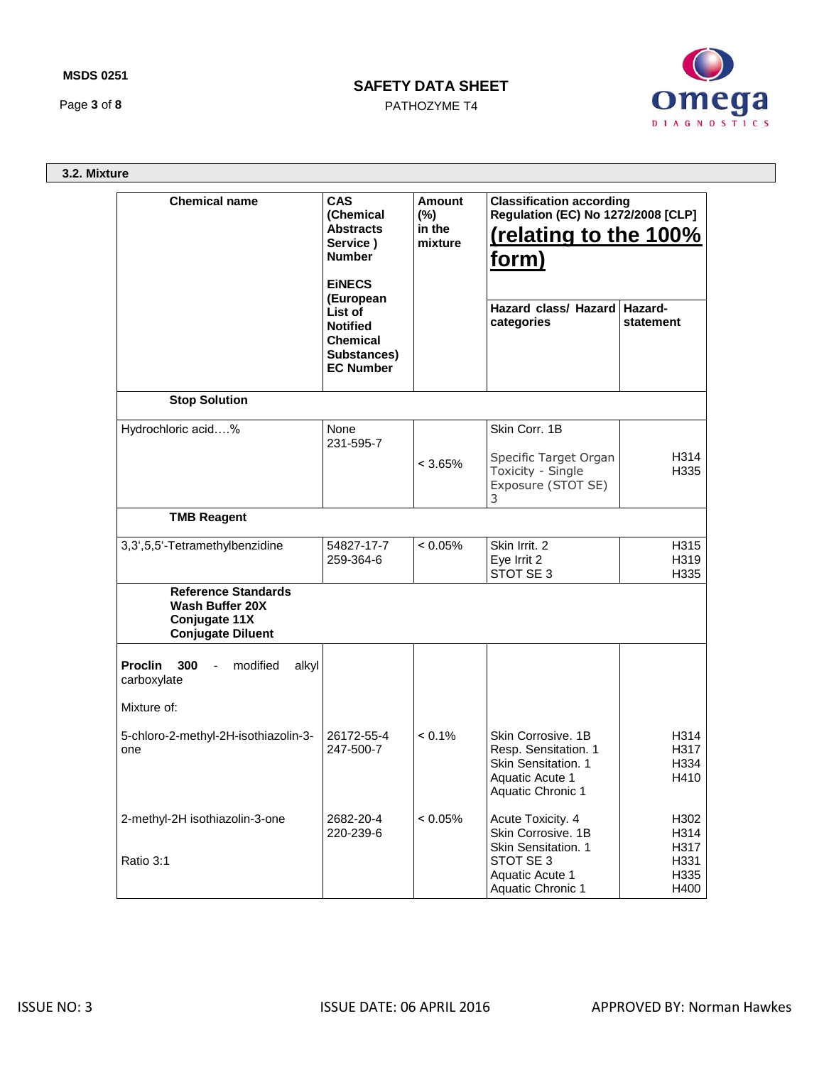## **MSDS 0251**

Page **3** of **8**

# **SAFETY DATA SHEET**

PATHOZYME T4



**3.2. Mixture**

| <b>Chemical name</b>                                                                              | <b>CAS</b><br>(Chemical<br><b>Abstracts</b><br>Service)<br><b>Number</b><br><b>EINECS</b>     | Amount<br>$(\%)$<br>in the<br>mixture | <b>Classification according</b><br><b>Regulation (EC) No 1272/2008 [CLP]</b><br>(relating to the 100%<br>form) |                              |  |
|---------------------------------------------------------------------------------------------------|-----------------------------------------------------------------------------------------------|---------------------------------------|----------------------------------------------------------------------------------------------------------------|------------------------------|--|
|                                                                                                   | (European<br>List of<br><b>Notified</b><br><b>Chemical</b><br>Substances)<br><b>EC Number</b> |                                       | <b>Hazard class/ Hazard</b><br>categories                                                                      | Hazard-<br>statement         |  |
| <b>Stop Solution</b>                                                                              |                                                                                               |                                       |                                                                                                                |                              |  |
| Hydrochloric acid%                                                                                | None<br>231-595-7                                                                             | $< 3.65\%$                            | Skin Corr, 1B<br>Specific Target Organ<br>Toxicity - Single<br>Exposure (STOT SE)<br>3                         | H314<br>H335                 |  |
| <b>TMB Reagent</b>                                                                                |                                                                                               |                                       |                                                                                                                |                              |  |
| 3,3',5,5'-Tetramethylbenzidine                                                                    | 54827-17-7<br>259-364-6                                                                       | $< 0.05\%$                            | Skin Irrit. 2<br>Eye Irrit 2<br>STOT SE 3                                                                      | H315<br>H319<br>H335         |  |
| <b>Reference Standards</b><br><b>Wash Buffer 20X</b><br>Conjugate 11X<br><b>Conjugate Diluent</b> |                                                                                               |                                       |                                                                                                                |                              |  |
| <b>Proclin</b><br>300<br>modified<br>$\sim 100$<br>alkyl<br>carboxylate                           |                                                                                               |                                       |                                                                                                                |                              |  |
| Mixture of:                                                                                       |                                                                                               |                                       |                                                                                                                |                              |  |
| 5-chloro-2-methyl-2H-isothiazolin-3-<br>one                                                       | 26172-55-4<br>247-500-7                                                                       | $< 0.1\%$                             | Skin Corrosive. 1B<br>Resp. Sensitation. 1<br>Skin Sensitation. 1<br>Aquatic Acute 1<br>Aquatic Chronic 1      | H314<br>H317<br>H334<br>H410 |  |
| 2-methyl-2H isothiazolin-3-one                                                                    | 2682-20-4<br>220-239-6                                                                        | < 0.05%                               | Acute Toxicity. 4<br>Skin Corrosive. 1B<br>Skin Sensitation. 1                                                 | H302<br>H314<br>H317         |  |
| Ratio 3:1                                                                                         |                                                                                               |                                       | STOT SE 3<br>Aquatic Acute 1<br>Aquatic Chronic 1                                                              | H331<br>H335<br>H400         |  |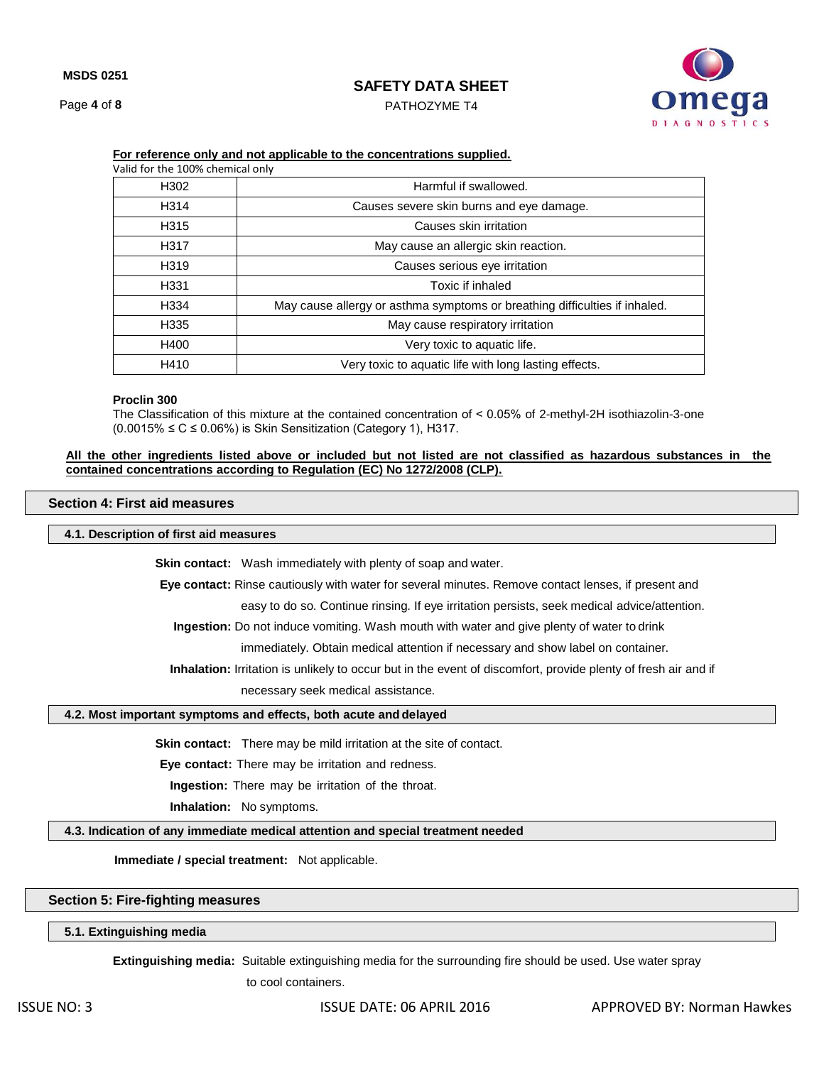Page **4** of **8**

## **SAFETY DATA SHEET**

PATHOZYME T4



| Valid for the 100% chemical only |                                                                            |  |  |  |  |
|----------------------------------|----------------------------------------------------------------------------|--|--|--|--|
| H <sub>302</sub>                 | Harmful if swallowed.                                                      |  |  |  |  |
| H314                             | Causes severe skin burns and eye damage.                                   |  |  |  |  |
| H315                             | Causes skin irritation                                                     |  |  |  |  |
| H317                             | May cause an allergic skin reaction.                                       |  |  |  |  |
| H <sub>319</sub>                 | Causes serious eye irritation                                              |  |  |  |  |
| H331                             | Toxic if inhaled                                                           |  |  |  |  |
| H334                             | May cause allergy or asthma symptoms or breathing difficulties if inhaled. |  |  |  |  |
| H335                             | May cause respiratory irritation                                           |  |  |  |  |
| H400                             | Very toxic to aquatic life.                                                |  |  |  |  |
| H410                             | Very toxic to aquatic life with long lasting effects.                      |  |  |  |  |

## **For reference only and not applicable to the concentrations supplied.**

#### **Proclin 300**

The Classification of this mixture at the contained concentration of ˂ 0.05% of 2-methyl-2H isothiazolin-3-one  $(0.0015\% \leq C \leq 0.06\%)$  is Skin Sensitization (Category 1), H317.

### **All the other ingredients listed above or included but not listed are not classified as hazardous substances in the contained concentrations according to Regulation (EC) No 1272/2008 (CLP).**

### **Section 4: First aid measures**

## **4.1. Description of first aid measures**

**Skin contact:** Wash immediately with plenty of soap and water.

**Eye contact:** Rinse cautiously with water for several minutes. Remove contact lenses, if present and

easy to do so. Continue rinsing. If eye irritation persists, seek medical advice/attention.

**Ingestion:** Do not induce vomiting. Wash mouth with water and give plenty of water to drink

immediately. Obtain medical attention if necessary and show label on container.

**Inhalation:** Irritation is unlikely to occur but in the event of discomfort, provide plenty of fresh air and if

necessary seek medical assistance.

### **4.2. Most important symptoms and effects, both acute and delayed**

**Skin contact:** There may be mild irritation at the site of contact.

**Eye contact:** There may be irritation and redness.

**Ingestion:** There may be irritation of the throat.

**Inhalation:** No symptoms.

**4.3. Indication of any immediate medical attention and special treatment needed**

**Immediate / special treatment:** Not applicable.

## **Section 5: Fire-fighting measures**

**5.1. Extinguishing media**

**Extinguishing media:** Suitable extinguishing media for the surrounding fire should be used. Use water spray

to cool containers.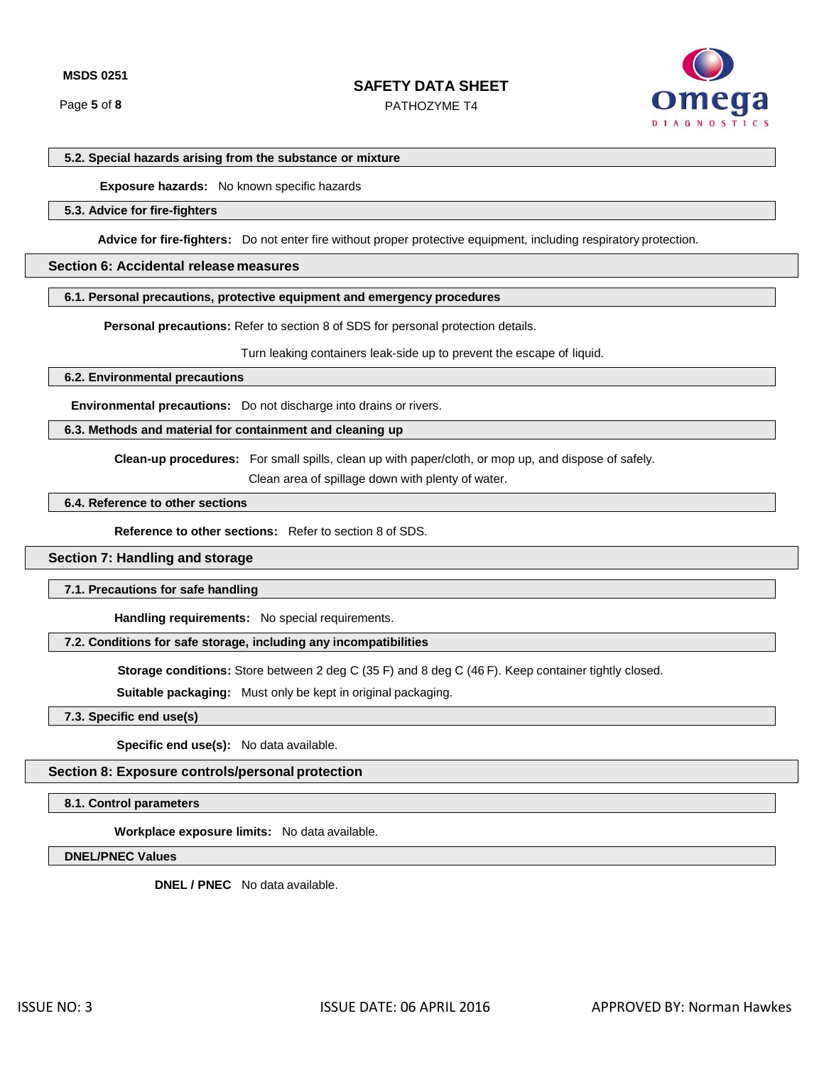PATHOZYME T4



### **5.2. Special hazards arising from the substance or mixture**

 **Exposure hazards:** No known specific hazards

## **5.3. Advice for fire-fighters**

**Advice for fire-fighters:** Do not enter fire without proper protective equipment, including respiratory protection.

## **Section 6: Accidental release measures**

### **6.1. Personal precautions, protective equipment and emergency procedures**

**Personal precautions:** Refer to section 8 of SDS for personal protection details.

Turn leaking containers leak-side up to prevent the escape of liquid.

**6.2. Environmental precautions**

**Environmental precautions:** Do not discharge into drains or rivers.

### **6.3. Methods and material for containment and cleaning up**

**Clean-up procedures:** For small spills, clean up with paper/cloth, or mop up, and dispose of safely.

Clean area of spillage down with plenty of water.

## **6.4. Reference to other sections**

**Reference to other sections:** Refer to section 8 of SDS.

#### **Section 7: Handling and storage**

#### **7.1. Precautions for safe handling**

**Handling requirements:** No special requirements.

## **7.2. Conditions for safe storage, including any incompatibilities**

**Storage conditions:** Store between 2 deg C (35 F) and 8 deg C (46 F). Keep container tightly closed.

**Suitable packaging:** Must only be kept in original packaging.

## **7.3. Specific end use(s)**

**Specific end use(s):** No data available.

### **Section 8: Exposure controls/personal protection**

**8.1. Control parameters**

**Workplace exposure limits:** No data available.

**DNEL/PNEC Values**

**DNEL / PNEC** No data available.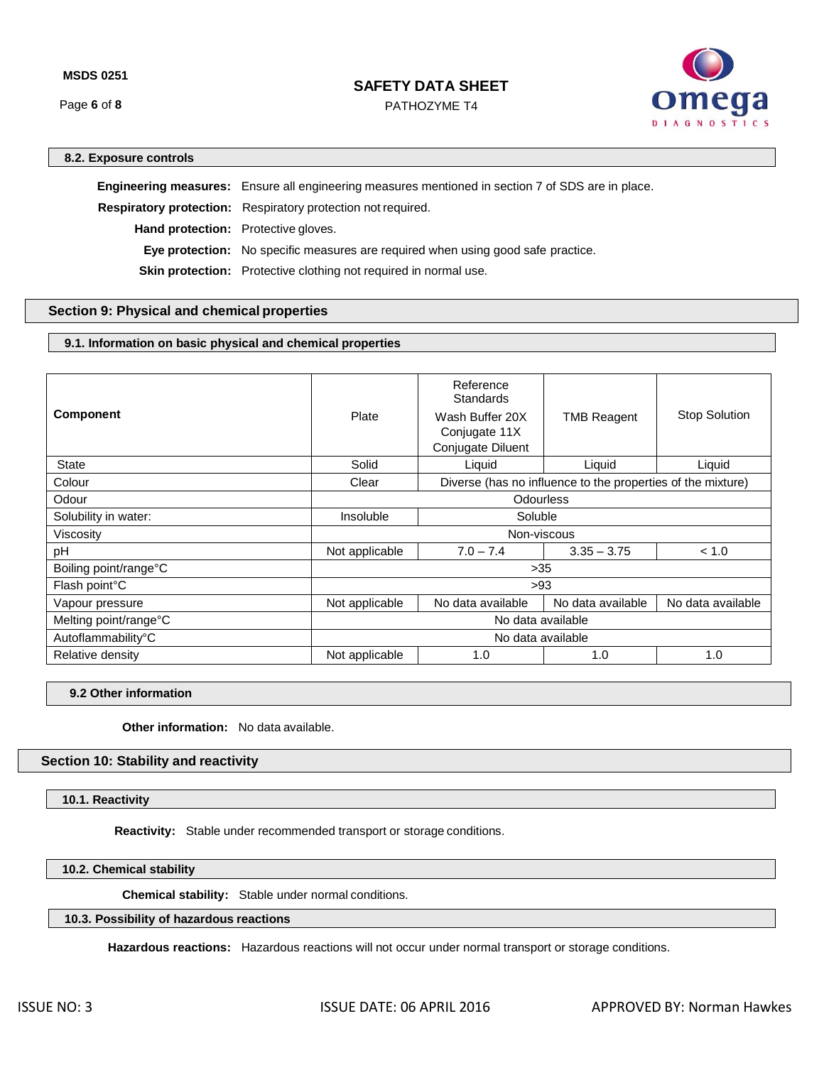Page **6** of **8**

## **SAFETY DATA SHEET**

PATHOZYME T4



## **8.2. Exposure controls**

**Engineering measures:** Ensure all engineering measures mentioned in section 7 of SDS are in place. **Respiratory protection:** Respiratory protection not required. **Hand protection:** Protective gloves. **Eye protection:** No specific measures are required when using good safe practice. **Skin protection:** Protective clothing not required in normal use.

## **Section 9: Physical and chemical properties**

## **9.1. Information on basic physical and chemical properties**

| <b>Component</b>           | Plate             | Reference<br><b>Standards</b><br>Wash Buffer 20X<br>Conjugate 11X<br>Conjugate Diluent | <b>TMB Reagent</b> | <b>Stop Solution</b> |  |  |  |
|----------------------------|-------------------|----------------------------------------------------------------------------------------|--------------------|----------------------|--|--|--|
| <b>State</b>               | Solid             | Liquid                                                                                 | Liquid             | Liquid               |  |  |  |
| Colour                     | Clear             | Diverse (has no influence to the properties of the mixture)                            |                    |                      |  |  |  |
| Odour                      | Odourless         |                                                                                        |                    |                      |  |  |  |
| Solubility in water:       | Insoluble         | Soluble                                                                                |                    |                      |  |  |  |
| Viscosity                  | Non-viscous       |                                                                                        |                    |                      |  |  |  |
| pH                         | Not applicable    | $7.0 - 7.4$                                                                            | $3.35 - 3.75$      | < 1.0                |  |  |  |
| Boiling point/range°C      | $>35$             |                                                                                        |                    |                      |  |  |  |
| Flash point <sup>°</sup> C | >93               |                                                                                        |                    |                      |  |  |  |
| Vapour pressure            | Not applicable    | No data available                                                                      | No data available  | No data available    |  |  |  |
| Melting point/range°C      | No data available |                                                                                        |                    |                      |  |  |  |
| Autoflammability°C         | No data available |                                                                                        |                    |                      |  |  |  |
| Relative density           | Not applicable    | 1.0                                                                                    | 1.0                | 1.0                  |  |  |  |

#### **9.2 Other information**

**Other information:** No data available.

## **Section 10: Stability and reactivity**

**10.1. Reactivity**

**Reactivity:** Stable under recommended transport or storage conditions.

## **10.2. Chemical stability**

 **Chemical stability:** Stable under normal conditions.

## **10.3. Possibility of hazardous reactions**

**Hazardous reactions:** Hazardous reactions will not occur under normal transport or storage conditions.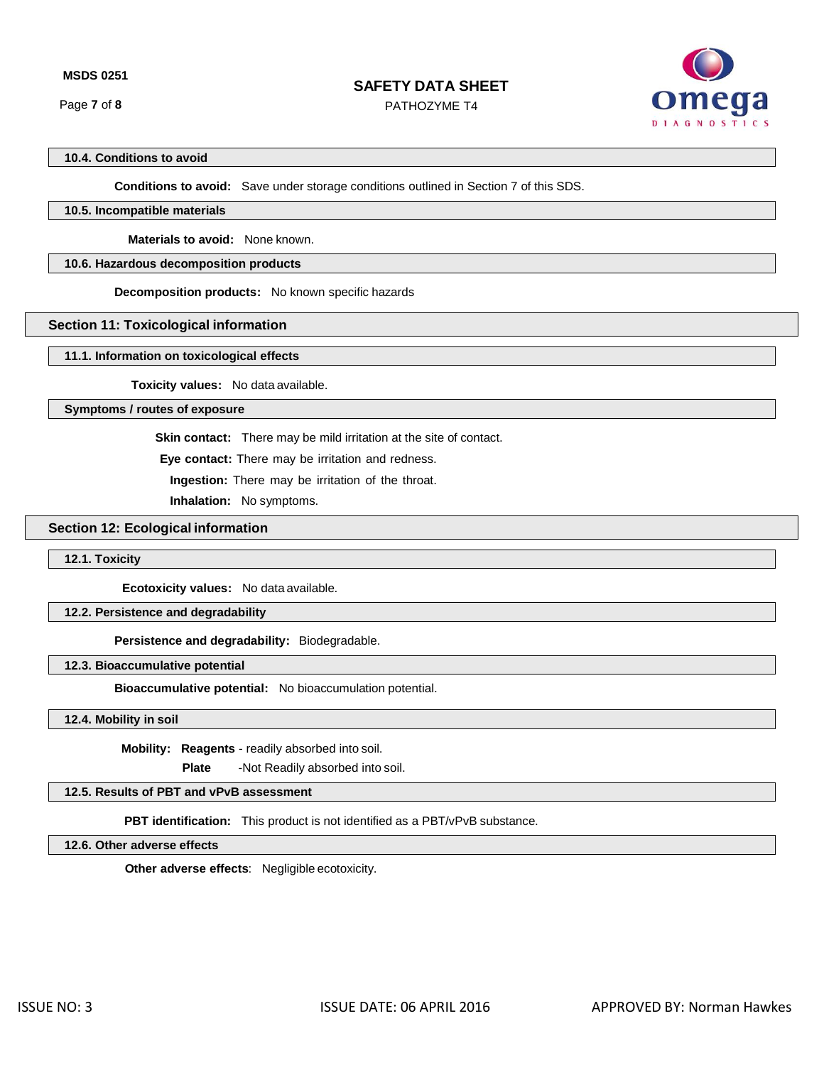Page **7** of **8**

# **SAFETY DATA SHEET**

PATHOZYME T4



# **10.4. Conditions to avoid**

**Conditions to avoid:** Save under storage conditions outlined in Section 7 of this SDS.

## **10.5. Incompatible materials**

 **Materials to avoid:** None known.

## **10.6. Hazardous decomposition products**

**Decomposition products:** No known specific hazards

## **Section 11: Toxicological information**

### **11.1. Information on toxicological effects**

 **Toxicity values:** No data available.

**Symptoms / routes of exposure**

**Skin contact:** There may be mild irritation at the site of contact.

**Eye contact:** There may be irritation and redness.

**Ingestion:** There may be irritation of the throat.

**Inhalation:** No symptoms.

## **Section 12: Ecological information**

**12.1. Toxicity**

**Ecotoxicity values:** No data available.

### **12.2. Persistence and degradability**

**Persistence and degradability:** Biodegradable.

## **12.3. Bioaccumulative potential**

**Bioaccumulative potential:** No bioaccumulation potential.

#### **12.4. Mobility in soil**

 **Mobility: Reagents** - readily absorbed into soil.

**Plate** -Not Readily absorbed into soil.

## **12.5. Results of PBT and vPvB assessment**

**PBT identification:** This product is not identified as a PBT/vPvB substance.

## **12.6. Other adverse effects**

**Other adverse effects**: Negligible ecotoxicity.